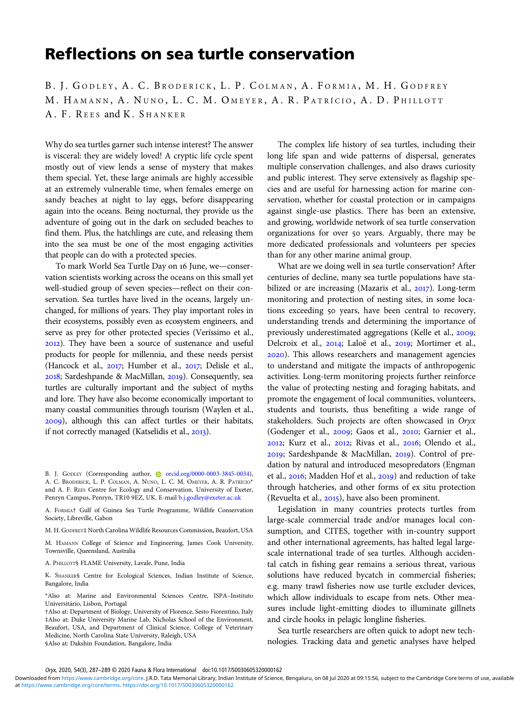## Reflections on sea turtle conservation

B. J. GODLEY, A. C. BRODERICK, L. P. COLMAN, A. FORMIA, M. H. GODFREY M. HAMANN, A. NUNO, L. C. M. OMEYER, A. R. PATRÍCIO, A. D. PHILLOTT A. F. REES and K. SHANKER

Why do sea turtles garner such intense interest? The answer is visceral: they are widely loved! A cryptic life cycle spent mostly out of view lends a sense of mystery that makes them special. Yet, these large animals are highly accessible at an extremely vulnerable time, when females emerge on sandy beaches at night to lay eggs, before disappearing again into the oceans. Being nocturnal, they provide us the adventure of going out in the dark on secluded beaches to find them. Plus, the hatchlings are cute, and releasing them into the sea must be one of the most engaging activities that people can do with a protected species.

To mark World Sea Turtle Day on 16 June, we-conservation scientists working across the oceans on this small yet well-studied group of seven species—reflect on their conservation. Sea turtles have lived in the oceans, largely unchanged, for millions of years. They play important roles in their ecosystems, possibly even as ecosystem engineers, and serve as prey for other protected species (Veríssimo et al., ). They have been a source of sustenance and useful products for people for millennia, and these needs persist (Hancock et al., 2017; Humber et al., 2017; Delisle et al., 2018; Sardeshpande & MacMillan, 2019). Consequently, sea turtles are culturally important and the subject of myths and lore. They have also become economically important to many coastal communities through tourism (Waylen et al., ), although this can affect turtles or their habitats, if not correctly managed (Katselidis et al., 2013).

B. J. GODLEY (Corresponding author, corred.org/0000-0003-3845-0034), A. C. BRODERICK, L. P. COLMAN, A. NUNO, L. C. M. OMEYER, A. R. PATRÍCIO\* and A. F. REES Centre for Ecology and Conservation, University of Exeter, Penryn Campus, Penryn, TR10 9EZ, UK. E-mail [b.j.godley@exeter.ac.uk](mailto:b.j.godley@exeter.ac.uk)

A. FORMIA† Gulf of Guinea Sea Turtle Programme, Wildlife Conservation Society, Libreville, Gabon

M. H. GODFREY‡ North Carolina Wildlife Resources Commission, Beaufort, USA

M. HAMANN College of Science and Engineering, James Cook University, Townsville, Queensland, Australia

A. PHILLOTT§ FLAME University, Lavale, Pune, India

K. SHANKER§ Centre for Ecological Sciences, Indian Institute of Science, Bangalore, India

\*Also at: Marine and Environmental Sciences Centre, ISPA–Instituto Universitário, Lisbon, Portugal

†Also at: Department of Biology, University of Florence, Sesto Fiorentino, Italy ‡Also at: Duke University Marine Lab, Nicholas School of the Environment, Beaufort, USA, and Department of Clinical Science, College of Veterinary Medicine, North Carolina State University, Raleigh, USA

§Also at: Dakshin Foundation, Bangalore, India

The complex life history of sea turtles, including their long life span and wide patterns of dispersal, generates multiple conservation challenges, and also draws curiosity and public interest. They serve extensively as flagship species and are useful for harnessing action for marine conservation, whether for coastal protection or in campaigns against single-use plastics. There has been an extensive, and growing, worldwide network of sea turtle conservation organizations for over 50 years. Arguably, there may be more dedicated professionals and volunteers per species than for any other marine animal group.

What are we doing well in sea turtle conservation? After centuries of decline, many sea turtle populations have stabilized or are increasing (Mazaris et al., 2017). Long-term monitoring and protection of nesting sites, in some locations exceeding 50 years, have been central to recovery, understanding trends and determining the importance of previously underestimated aggregations (Kelle et al., 2009; Delcroix et al., 2014; Laloë et al., 2019; Mortimer et al., ). This allows researchers and management agencies to understand and mitigate the impacts of anthropogenic activities. Long-term monitoring projects further reinforce the value of protecting nesting and foraging habitats, and promote the engagement of local communities, volunteers, students and tourists, thus benefiting a wide range of stakeholders. Such projects are often showcased in Oryx (Godenger et al., 2009; Gaos et al., 2010; Garnier et al., 2012; Kurz et al., 2012; Rivas et al., 2016; Olendo et al., 2019; Sardeshpande & MacMillan, 2019). Control of predation by natural and introduced mesopredators (Engman et al., 2016; Madden Hof et al., 2019) and reduction of take through hatcheries, and other forms of ex situ protection (Revuelta et al.,  $2015$ ), have also been prominent.

Legislation in many countries protects turtles from large-scale commercial trade and/or manages local consumption, and CITES, together with in-country support and other international agreements, has halted legal largescale international trade of sea turtles. Although accidental catch in fishing gear remains a serious threat, various solutions have reduced bycatch in commercial fisheries; e.g. many trawl fisheries now use turtle excluder devices, which allow individuals to escape from nets. Other measures include light-emitting diodes to illuminate gillnets and circle hooks in pelagic longline fisheries.

Sea turtle researchers are often quick to adopt new technologies. Tracking data and genetic analyses have helped

Oryx, 2020, 54(3), 287–289 © 2020 Fauna & Flora International doi:10.1017/S0030605320000162

at [https://www.cambridge.org/core/terms.](https://www.cambridge.org/core/terms) <https://doi.org/10.1017/S0030605320000162> Downloaded from [https://www.cambridge.org/core.](https://www.cambridge.org/core) J.R.D. Tata Memorial Library, Indian Institute of Science, Bengaluru, on 08 Jul 2020 at 09:15:56, subject to the Cambridge Core terms of use, available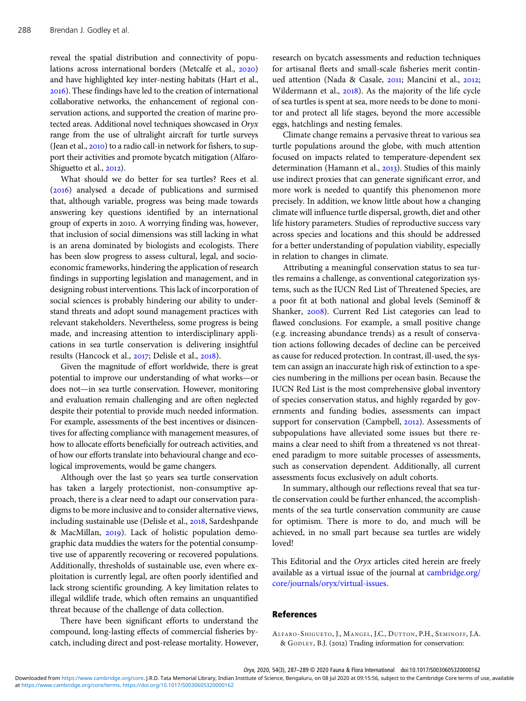reveal the spatial distribution and connectivity of populations across international borders (Metcalfe et al., 2020) and have highlighted key inter-nesting habitats (Hart et al., ). These findings have led to the creation of international collaborative networks, the enhancement of regional conservation actions, and supported the creation of marine protected areas. Additional novel techniques showcased in Oryx range from the use of ultralight aircraft for turtle surveys (Jean et al.,  $2010$ ) to a radio call-in network for fishers, to support their activities and promote bycatch mitigation (Alfaro-Shiguetto et al., 2012).

What should we do better for sea turtles? Rees et al.  $(2016)$  analysed a decade of publications and surmised that, although variable, progress was being made towards answering key questions identified by an international group of experts in 2010. A worrying finding was, however, that inclusion of social dimensions was still lacking in what is an arena dominated by biologists and ecologists. There has been slow progress to assess cultural, legal, and socioeconomic frameworks, hindering the application of research findings in supporting legislation and management, and in designing robust interventions. This lack of incorporation of social sciences is probably hindering our ability to understand threats and adopt sound management practices with relevant stakeholders. Nevertheless, some progress is being made, and increasing attention to interdisciplinary applications in sea turtle conservation is delivering insightful results (Hancock et al., 2017; Delisle et al., 2018).

Given the magnitude of effort worldwide, there is great potential to improve our understanding of what works—or does not—in sea turtle conservation. However, monitoring and evaluation remain challenging and are often neglected despite their potential to provide much needed information. For example, assessments of the best incentives or disincentives for affecting compliance with management measures, of how to allocate efforts beneficially for outreach activities, and of how our efforts translate into behavioural change and ecological improvements, would be game changers.

Although over the last 50 years sea turtle conservation has taken a largely protectionist, non-consumptive approach, there is a clear need to adapt our conservation paradigms to be more inclusive and to consider alternative views, including sustainable use (Delisle et al., 2018, Sardeshpande & MacMillan, 2019). Lack of holistic population demographic data muddies the waters for the potential consumptive use of apparently recovering or recovered populations. Additionally, thresholds of sustainable use, even where exploitation is currently legal, are often poorly identified and lack strong scientific grounding. A key limitation relates to illegal wildlife trade, which often remains an unquantified threat because of the challenge of data collection.

There have been significant efforts to understand the compound, long-lasting effects of commercial fisheries bycatch, including direct and post-release mortality. However, research on bycatch assessments and reduction techniques for artisanal fleets and small-scale fisheries merit continued attention (Nada & Casale, 2011; Mancini et al., 2012; Wildermann et al., 2018). As the majority of the life cycle of sea turtles is spent at sea, more needs to be done to monitor and protect all life stages, beyond the more accessible eggs, hatchlings and nesting females.

Climate change remains a pervasive threat to various sea turtle populations around the globe, with much attention focused on impacts related to temperature-dependent sex determination (Hamann et al., 2013). Studies of this mainly use indirect proxies that can generate significant error, and more work is needed to quantify this phenomenon more precisely. In addition, we know little about how a changing climate will influence turtle dispersal, growth, diet and other life history parameters. Studies of reproductive success vary across species and locations and this should be addressed for a better understanding of population viability, especially in relation to changes in climate.

Attributing a meaningful conservation status to sea turtles remains a challenge, as conventional categorization systems, such as the IUCN Red List of Threatened Species, are a poor fit at both national and global levels (Seminoff & Shanker, 2008). Current Red List categories can lead to flawed conclusions. For example, a small positive change (e.g. increasing abundance trends) as a result of conservation actions following decades of decline can be perceived as cause for reduced protection. In contrast, ill-used, the system can assign an inaccurate high risk of extinction to a species numbering in the millions per ocean basin. Because the IUCN Red List is the most comprehensive global inventory of species conservation status, and highly regarded by governments and funding bodies, assessments can impact support for conservation (Campbell, 2012). Assessments of subpopulations have alleviated some issues but there remains a clear need to shift from a threatened vs not threatened paradigm to more suitable processes of assessments, such as conservation dependent. Additionally, all current assessments focus exclusively on adult cohorts.

In summary, although our reflections reveal that sea turtle conservation could be further enhanced, the accomplishments of the sea turtle conservation community are cause for optimism. There is more to do, and much will be achieved, in no small part because sea turtles are widely loved!

This Editorial and the Oryx articles cited herein are freely available as a virtual issue of the journal at [cambridge.org/](https://cambridge.org/core/journals/oryx/virtual-issues) [core/journals/oryx/virtual-issues.](https://cambridge.org/core/journals/oryx/virtual-issues)

## References

ALFARO-SHIGUETO, J., MANGEL, J.C., DUTTON, P.H., SEMINOFF, J.A. & GODLEY, B.J. (2012) Trading information for conservation: